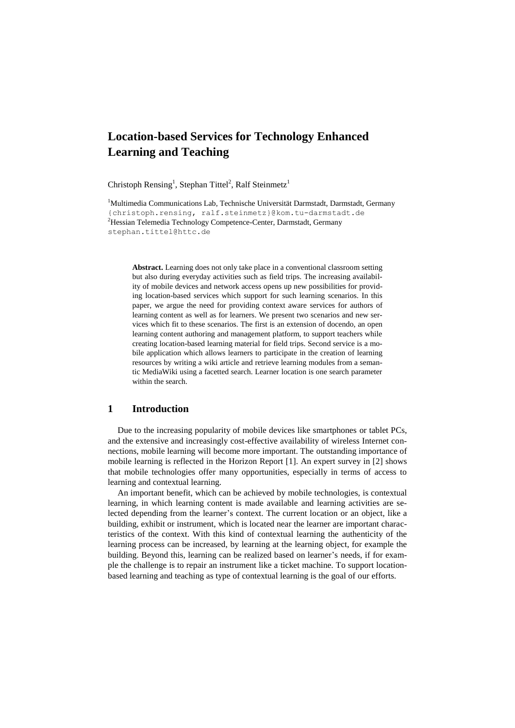# **Location-based Services for Technology Enhanced Learning and Teaching**

Christoph Rensing<sup>1</sup>, Stephan Tittel<sup>2</sup>, Ralf Steinmetz<sup>1</sup>

<sup>1</sup>Multimedia Communications Lab, Technische Universität Darmstadt, Darmstadt, Germany {christoph.rensing, [ralf.steinmetz}@kom.tu-darmstadt.de](mailto:ralf.steinmetz%7d@kom.tu-darmstadt.de) <sup>2</sup>Hessian Telemedia Technology Competence-Center, Darmstadt, Germany stephan.tittel@httc.de

**Abstract.** Learning does not only take place in a conventional classroom setting but also during everyday activities such as field trips. The increasing availability of mobile devices and network access opens up new possibilities for providing location-based services which support for such learning scenarios. In this paper, we argue the need for providing context aware services for authors of learning content as well as for learners. We present two scenarios and new services which fit to these scenarios. The first is an extension of docendo, an open learning content authoring and management platform, to support teachers while creating location-based learning material for field trips. Second service is a mobile application which allows learners to participate in the creation of learning resources by writing a wiki article and retrieve learning modules from a semantic MediaWiki using a facetted search. Learner location is one search parameter within the search.

## **1 Introduction**

Due to the increasing popularity of mobile devices like smartphones or tablet PCs, and the extensive and increasingly cost-effective availability of wireless Internet connections, mobile learning will become more important. The outstanding importance of mobile learning is reflected in the Horizon Report [1]. An expert survey in [2] shows that mobile technologies offer many opportunities, especially in terms of access to learning and contextual learning.

An important benefit, which can be achieved by mobile technologies, is contextual learning, in which learning content is made available and learning activities are selected depending from the learner's context. The current location or an object, like a building, exhibit or instrument, which is located near the learner are important characteristics of the context. With this kind of contextual learning the authenticity of the learning process can be increased, by learning at the learning object, for example the building. Beyond this, learning can be realized based on learner's needs, if for example the challenge is to repair an instrument like a ticket machine. To support locationbased learning and teaching as type of contextual learning is the goal of our efforts.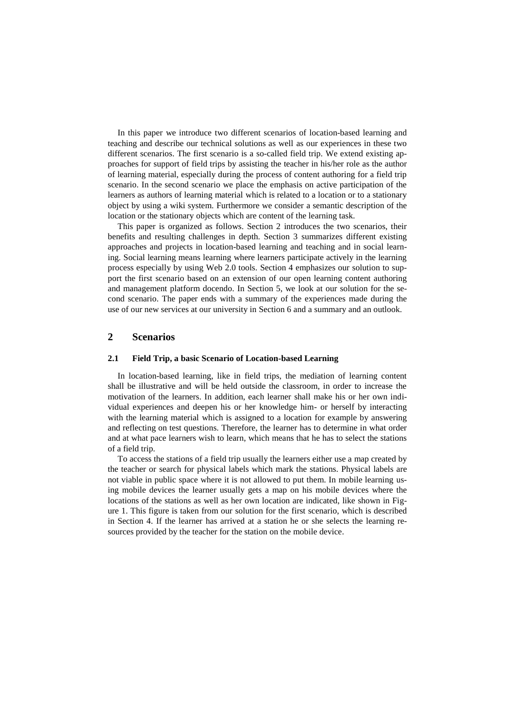In this paper we introduce two different scenarios of location-based learning and teaching and describe our technical solutions as well as our experiences in these two different scenarios. The first scenario is a so-called field trip. We extend existing approaches for support of field trips by assisting the teacher in his/her role as the author of learning material, especially during the process of content authoring for a field trip scenario. In the second scenario we place the emphasis on active participation of the learners as authors of learning material which is related to a location or to a stationary object by using a wiki system. Furthermore we consider a semantic description of the location or the stationary objects which are content of the learning task.

This paper is organized as follows. Section 2 introduces the two scenarios, their benefits and resulting challenges in depth. Section 3 summarizes different existing approaches and projects in location-based learning and teaching and in social learning. Social learning means learning where learners participate actively in the learning process especially by using Web 2.0 tools. Section 4 emphasizes our solution to support the first scenario based on an extension of our open learning content authoring and management platform docendo. In Section 5, we look at our solution for the second scenario. The paper ends with a summary of the experiences made during the use of our new services at our university in Section 6 and a summary and an outlook.

# **2 Scenarios**

#### **2.1 Field Trip, a basic Scenario of Location-based Learning**

In location-based learning, like in field trips, the mediation of learning content shall be illustrative and will be held outside the classroom, in order to increase the motivation of the learners. In addition, each learner shall make his or her own individual experiences and deepen his or her knowledge him- or herself by interacting with the learning material which is assigned to a location for example by answering and reflecting on test questions. Therefore, the learner has to determine in what order and at what pace learners wish to learn, which means that he has to select the stations of a field trip.

To access the stations of a field trip usually the learners either use a map created by the teacher or search for physical labels which mark the stations. Physical labels are not viable in public space where it is not allowed to put them. In mobile learning using mobile devices the learner usually gets a map on his mobile devices where the locations of the stations as well as her own location are indicated, like shown in Figure 1. This figure is taken from our solution for the first scenario, which is described in Section 4. If the learner has arrived at a station he or she selects the learning resources provided by the teacher for the station on the mobile device.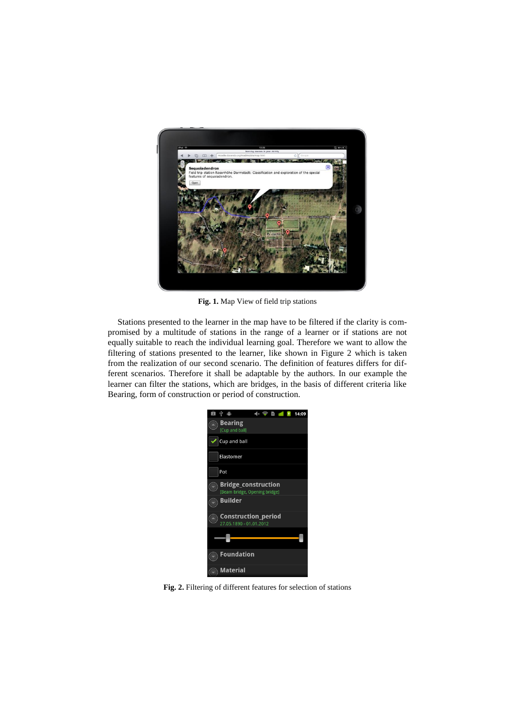

**Fig. 1.** Map View of field trip stations

Stations presented to the learner in the map have to be filtered if the clarity is compromised by a multitude of stations in the range of a learner or if stations are not equally suitable to reach the individual learning goal. Therefore we want to allow the filtering of stations presented to the learner, like shown in Figure 2 which is taken from the realization of our second scenario. The definition of features differs for different scenarios. Therefore it shall be adaptable by the authors. In our example the learner can filter the stations, which are bridges, in the basis of different criteria like Bearing, form of construction or period of construction.



**Fig. 2.** Filtering of different features for selection of stations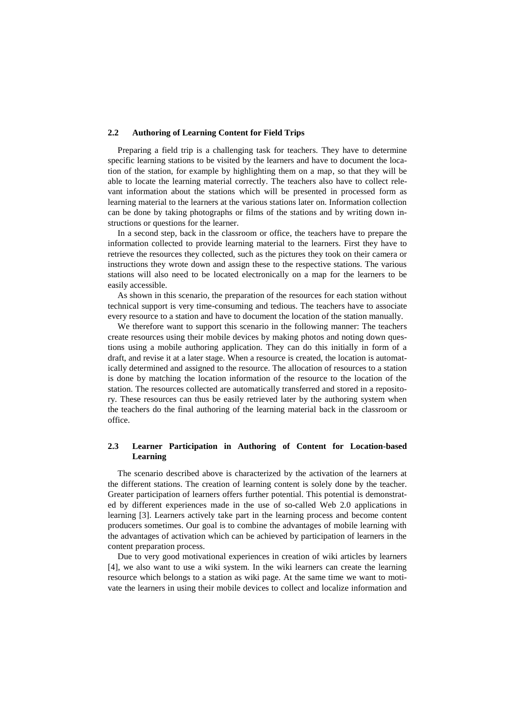#### **2.2 Authoring of Learning Content for Field Trips**

Preparing a field trip is a challenging task for teachers. They have to determine specific learning stations to be visited by the learners and have to document the location of the station, for example by highlighting them on a map, so that they will be able to locate the learning material correctly. The teachers also have to collect relevant information about the stations which will be presented in processed form as learning material to the learners at the various stations later on. Information collection can be done by taking photographs or films of the stations and by writing down instructions or questions for the learner.

In a second step, back in the classroom or office, the teachers have to prepare the information collected to provide learning material to the learners. First they have to retrieve the resources they collected, such as the pictures they took on their camera or instructions they wrote down and assign these to the respective stations. The various stations will also need to be located electronically on a map for the learners to be easily accessible.

As shown in this scenario, the preparation of the resources for each station without technical support is very time-consuming and tedious. The teachers have to associate every resource to a station and have to document the location of the station manually.

We therefore want to support this scenario in the following manner: The teachers create resources using their mobile devices by making photos and noting down questions using a mobile authoring application. They can do this initially in form of a draft, and revise it at a later stage. When a resource is created, the location is automatically determined and assigned to the resource. The allocation of resources to a station is done by matching the location information of the resource to the location of the station. The resources collected are automatically transferred and stored in a repository. These resources can thus be easily retrieved later by the authoring system when the teachers do the final authoring of the learning material back in the classroom or office.

### **2.3 Learner Participation in Authoring of Content for Location-based Learning**

The scenario described above is characterized by the activation of the learners at the different stations. The creation of learning content is solely done by the teacher. Greater participation of learners offers further potential. This potential is demonstrated by different experiences made in the use of so-called Web 2.0 applications in learning [3]. Learners actively take part in the learning process and become content producers sometimes. Our goal is to combine the advantages of mobile learning with the advantages of activation which can be achieved by participation of learners in the content preparation process.

Due to very good motivational experiences in creation of wiki articles by learners [4], we also want to use a wiki system. In the wiki learners can create the learning resource which belongs to a station as wiki page. At the same time we want to motivate the learners in using their mobile devices to collect and localize information and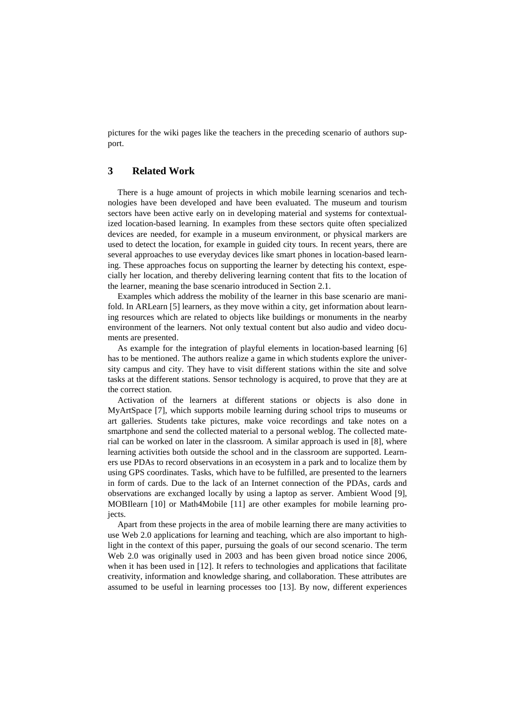pictures for the wiki pages like the teachers in the preceding scenario of authors support.

# **3 Related Work**

There is a huge amount of projects in which mobile learning scenarios and technologies have been developed and have been evaluated. The museum and tourism sectors have been active early on in developing material and systems for contextualized location-based learning. In examples from these sectors quite often specialized devices are needed, for example in a museum environment, or physical markers are used to detect the location, for example in guided city tours. In recent years, there are several approaches to use everyday devices like smart phones in location-based learning. These approaches focus on supporting the learner by detecting his context, especially her location, and thereby delivering learning content that fits to the location of the learner, meaning the base scenario introduced in Section 2.1.

Examples which address the mobility of the learner in this base scenario are manifold. In ARLearn [5] learners, as they move within a city, get information about learning resources which are related to objects like buildings or monuments in the nearby environment of the learners. Not only textual content but also audio and video documents are presented.

As example for the integration of playful elements in location-based learning [6] has to be mentioned. The authors realize a game in which students explore the university campus and city. They have to visit different stations within the site and solve tasks at the different stations. Sensor technology is acquired, to prove that they are at the correct station.

Activation of the learners at different stations or objects is also done in MyArtSpace [7], which supports mobile learning during school trips to museums or art galleries. Students take pictures, make voice recordings and take notes on a smartphone and send the collected material to a personal weblog. The collected material can be worked on later in the classroom. A similar approach is used in [8], where learning activities both outside the school and in the classroom are supported. Learners use PDAs to record observations in an ecosystem in a park and to localize them by using GPS coordinates. Tasks, which have to be fulfilled, are presented to the learners in form of cards. Due to the lack of an Internet connection of the PDAs, cards and observations are exchanged locally by using a laptop as server. Ambient Wood [9], MOBIlearn [10] or Math4Mobile [11] are other examples for mobile learning projects.

Apart from these projects in the area of mobile learning there are many activities to use Web 2.0 applications for learning and teaching, which are also important to highlight in the context of this paper, pursuing the goals of our second scenario. The term Web 2.0 was originally used in 2003 and has been given broad notice since 2006, when it has been used in [12]. It refers to technologies and applications that facilitate creativity, information and knowledge sharing, and collaboration. These attributes are assumed to be useful in learning processes too [13]. By now, different experiences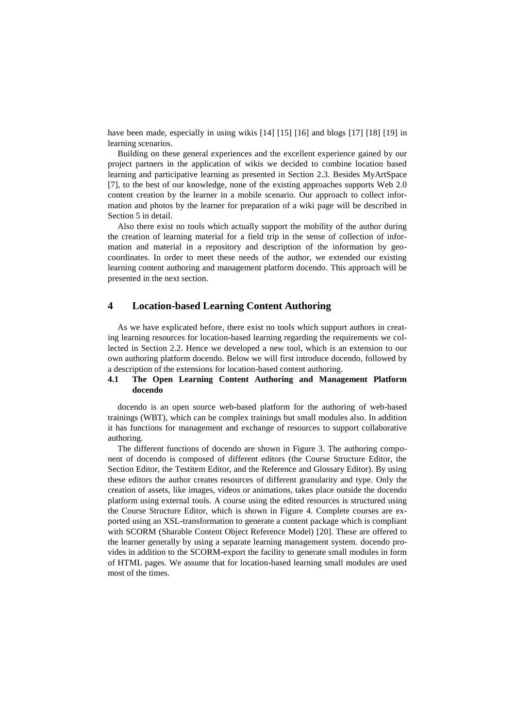have been made, especially in using wikis [14] [15] [16] and blogs [17] [18] [19] in learning scenarios.

Building on these general experiences and the excellent experience gained by our project partners in the application of wikis we decided to combine location based learning and participative learning as presented in Section 2.3. Besides MyArtSpace [7], to the best of our knowledge, none of the existing approaches supports Web 2.0 content creation by the learner in a mobile scenario. Our approach to collect information and photos by the learner for preparation of a wiki page will be described in Section 5 in detail.

Also there exist no tools which actually support the mobility of the author during the creation of learning material for a field trip in the sense of collection of information and material in a repository and description of the information by geocoordinates. In order to meet these needs of the author, we extended our existing learning content authoring and management platform docendo. This approach will be presented in the next section.

#### **4 Location-based Learning Content Authoring**

As we have explicated before, there exist no tools which support authors in creating learning resources for location-based learning regarding the requirements we collected in Section 2.2. Hence we developed a new tool, which is an extension to our own authoring platform docendo. Below we will first introduce docendo, followed by a description of the extensions for location-based content authoring.

#### **4.1 The Open Learning Content Authoring and Management Platform docendo**

docendo is an open source web-based platform for the authoring of web-based trainings (WBT), which can be complex trainings but small modules also. In addition it has functions for management and exchange of resources to support collaborative authoring.

The different functions of docendo are shown in Figure 3. The authoring component of docendo is composed of different editors (the Course Structure Editor, the Section Editor, the Testitem Editor, and the Reference and Glossary Editor). By using these editors the author creates resources of different granularity and type. Only the creation of assets, like images, videos or animations, takes place outside the docendo platform using external tools. A course using the edited resources is structured using the Course Structure Editor, which is shown in Figure 4. Complete courses are exported using an XSL-transformation to generate a content package which is compliant with SCORM (Sharable Content Object Reference Model) [20]. These are offered to the learner generally by using a separate learning management system. docendo [pro](http://dict.tu-chemnitz.de/english-german/provides.html)[vides](http://dict.tu-chemnitz.de/english-german/provides.html) in addition to the SCORM-export [the](http://dict.tu-chemnitz.de/english-german/the.html) [facility](http://dict.tu-chemnitz.de/english-german/facility.html) to generate small modules in form of HTML pages. We assume that for location-based learning small modules are used most of the times.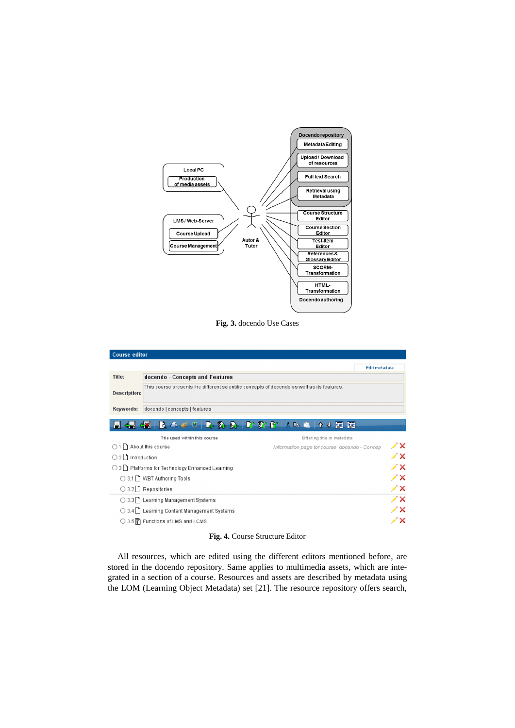

**Fig. 3.** docendo Use Cases

| <b>Course editor</b>                             |                                                                                            |               |
|--------------------------------------------------|--------------------------------------------------------------------------------------------|---------------|
|                                                  |                                                                                            | Edit metadata |
| Title:                                           | docendo - Concepts and Features                                                            |               |
| <b>Description:</b>                              | This course presents the different scientific concepts of docendo as well as its features. |               |
| Keywords:                                        | docendo   concepts   features                                                              |               |
|                                                  |                                                                                            |               |
|                                                  | Title used within this course<br>Differing title in metadata                               |               |
| $\bigcirc$ 1 $\bigcap$ About this course         | Information page for course "docendo - Concep                                              | ╱×            |
| $\bigcirc$ 2   Introduction                      |                                                                                            | ⁄ x           |
| ◯ 3   Platforms for Technology Enhanced Learning |                                                                                            | ⁄ x           |
| ◯ 3.1 VBT Authoring Tools                        |                                                                                            | ╱×            |
|                                                  | $\bigcirc$ 3.2 Repositories                                                                | ╱×            |
|                                                  | ◯ 3.3 Learning Management Systems                                                          | ╱×            |
|                                                  | ◯ 3.4   Learning Content Management Systems                                                | ∕ x           |
|                                                  | ◯ 3.5 1 Functions of LMS and LCMS                                                          | °×            |

**Fig. 4.** Course Structure Editor

All resources, which are edited using the different editors mentioned before, are stored in the docendo repository. Same applies to multimedia assets, which are integrated in a section of a course. Resources and assets are described by metadata using the LOM (Learning Object Metadata) set [21]. The resource repository offers search,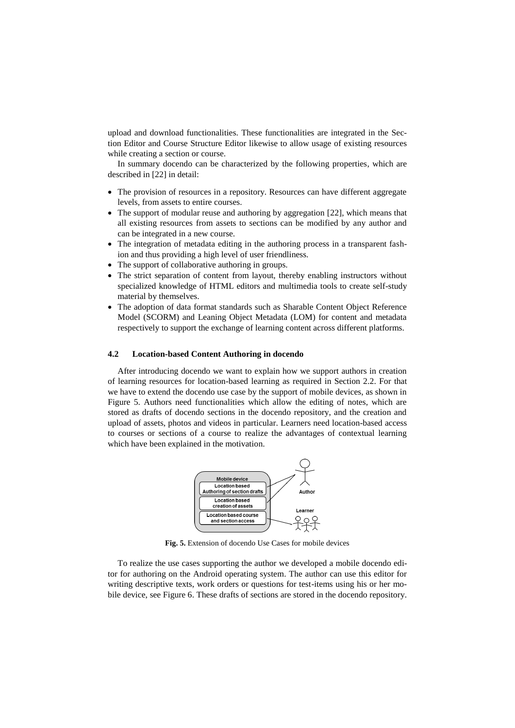upload and download functionalities. These functionalities are integrated in the Section Editor and Course Structure Editor likewise to allow usage of existing resources while creating a section or course.

In summary docendo can be characterized by the following properties, which are described in [22] in detail:

- The provision of resources in a repository. Resources can have different aggregate levels, from assets to entire courses.
- The support of modular reuse and authoring by aggregation [22], which means that all existing resources from assets to sections can be modified by any author and can be integrated in a new course.
- The integration of metadata editing in the authoring process in a transparent fashion and thus providing a high level of user friendliness.
- The support of collaborative authoring in groups.
- The strict separation of content from layout, thereby enabling instructors without specialized knowledge of HTML editors and multimedia tools to create self-study material by themselves.
- The adoption of data format standards such as Sharable Content Object Reference Model (SCORM) and Leaning Object Metadata (LOM) for content and metadata respectively to support the exchange of learning content across different platforms.

#### **4.2 Location-based Content Authoring in docendo**

After introducing docendo we want to explain how we support authors in creation of learning resources for location-based learning as required in Section 2.2. For that we have to extend the docendo use case by the support of mobile devices, as shown in Figure 5. Authors need functionalities which allow the editing of notes, which are stored as drafts of docendo sections in the docendo repository, and the creation and upload of assets, photos and videos in particular. Learners need location-based access to courses or sections of a course to realize the advantages of contextual learning which have been explained in the motivation.



**Fig. 5.** Extension of docendo Use Cases for mobile devices

To realize the use cases supporting the author we developed a mobile docendo editor for authoring on the Android operating system. The author can use this editor for writing descriptive texts, work orders or questions for test-items using his or her mobile device, see Figure 6. These drafts of sections are stored in the docendo repository.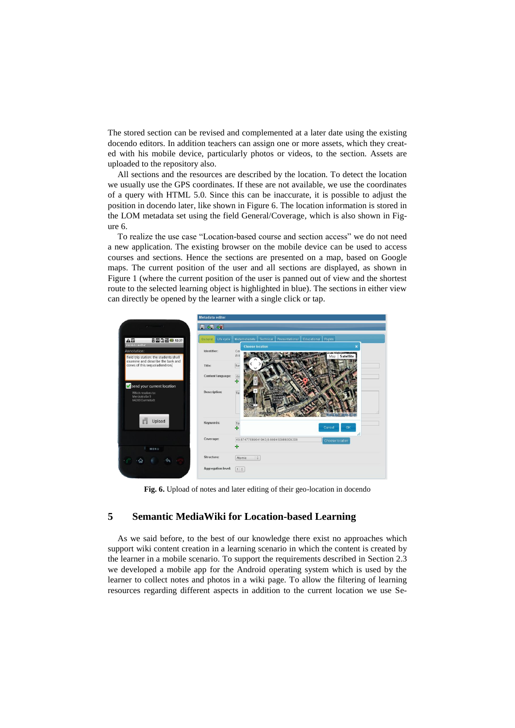The stored section can be revised and complemented at a later date using the existing docendo editors. In addition teachers can assign one or more assets, which they created with his mobile device, particularly photos or videos, to the section. Assets are uploaded to the repository also.

All sections and the resources are described by the location. To detect the location we usually use the GPS coordinates. If these are not available, we use the coordinates of a query with HTML 5.0. Since this can be inaccurate, it is possible to adjust the position in docendo later, like shown in Figure 6. The location information is stored in the LOM metadata set using the field General/Coverage, which is also shown in Figure 6.

To realize the use case "Location-based course and section access" we do not need a new application. The existing browser on the mobile device can be used to access courses and sections. Hence the sections are presented on a map, based on Google maps. The current position of the user and all sections are displayed, as shown in Figure 1 (where the current position of the user is panned out of view and the shortest route to the selected learning object is highlighted in blue). The sections in either view can directly be opened by the learner with a single click or tap.



**Fig. 6.** Upload of notes and later editing of their geo-location in docendo

## **5 Semantic MediaWiki for Location-based Learning**

As we said before, to the best of our knowledge there exist no approaches which support wiki content creation in a learning scenario in which the content is created by the learner in a mobile scenario. To support the requirements described in Section 2.3 we developed a mobile app for the Android operating system which is used by the learner to collect notes and photos in a wiki page. To allow the filtering of learning resources regarding different aspects in addition to the current location we use Se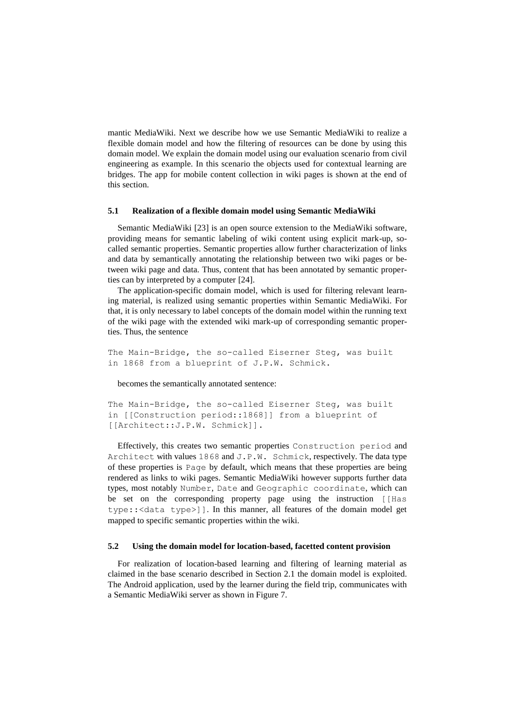mantic MediaWiki. Next we describe how we use Semantic MediaWiki to realize a flexible domain model and how the filtering of resources can be done by using this domain model. We explain the domain model using our evaluation scenario from civil engineering as example. In this scenario the objects used for contextual learning are bridges. The app for mobile content collection in wiki pages is shown at the end of this section.

#### **5.1 Realization of a flexible domain model using Semantic MediaWiki**

Semantic MediaWiki [23] is an open source extension to the MediaWiki software, providing means for semantic labeling of wiki content using explicit mark-up, socalled semantic properties. Semantic properties allow further characterization of links and data by semantically annotating the relationship between two wiki pages or between wiki page and data. Thus, content that has been annotated by semantic properties can by interpreted by a computer [24].

The application-specific domain model, which is used for filtering relevant learning material, is realized using semantic properties within Semantic MediaWiki. For that, it is only necessary to label concepts of the domain model within the running text of the wiki page with the extended wiki mark-up of corresponding semantic properties. Thus, the sentence

```
The Main-Bridge, the so-called Eiserner Steg, was built
in 1868 from a blueprint of J.P.W. Schmick.
```
becomes the semantically annotated sentence:

```
The Main-Bridge, the so-called Eiserner Steg, was built 
in [[Construction period::1868]] from a blueprint of 
[[Architect::J.P.W. Schmick]].
```
Effectively, this creates two semantic properties Construction period and Architect with values 1868 and J.P.W. Schmick, respectively. The data type of these properties is Page by default, which means that these properties are being rendered as links to wiki pages. Semantic MediaWiki however supports further data types, most notably Number, Date and Geographic coordinate, which can be set on the corresponding property page using the instruction [[Has type::<data type>]]. In this manner, all features of the domain model get mapped to specific semantic properties within the wiki.

#### **5.2 Using the domain model for location-based, facetted content provision**

For realization of location-based learning and filtering of learning material as claimed in the base scenario described in Section 2.1 the domain model is exploited. The Android application, used by the learner during the field trip, communicates with a Semantic MediaWiki server as shown in Figure 7.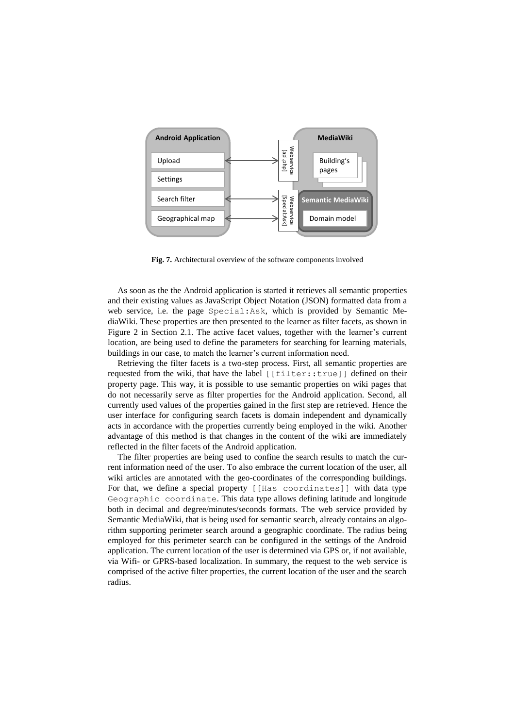

**Fig. 7.** Architectural overview of the software components involved

As soon as the the Android application is started it retrieves all semantic properties and their existing values as JavaScript Object Notation (JSON) formatted data from a web service, i.e. the page Special:Ask, which is provided by Semantic MediaWiki. These properties are then presented to the learner as filter facets, as shown in Figure 2 in Section 2.1. The active facet values, together with the learner's current location, are being used to define the parameters for searching for learning materials, buildings in our case, to match the learner's current information need.

Retrieving the filter facets is a two-step process. First, all semantic properties are requested from the wiki, that have the label [[filter::true]] defined on their property page. This way, it is possible to use semantic properties on wiki pages that do not necessarily serve as filter properties for the Android application. Second, all currently used values of the properties gained in the first step are retrieved. Hence the user interface for configuring search facets is domain independent and dynamically acts in accordance with the properties currently being employed in the wiki. Another advantage of this method is that changes in the content of the wiki are immediately reflected in the filter facets of the Android application.

The filter properties are being used to confine the search results to match the current information need of the user. To also embrace the current location of the user, all wiki articles are annotated with the geo-coordinates of the corresponding buildings. For that, we define a special property [[Has coordinates]] with data type Geographic coordinate. This data type allows defining latitude and longitude both in decimal and degree/minutes/seconds formats. The web service provided by Semantic MediaWiki, that is being used for semantic search, already contains an algorithm supporting perimeter search around a geographic coordinate. The radius being employed for this perimeter search can be configured in the settings of the Android application. The current location of the user is determined via GPS or, if not available, via Wifi- or GPRS-based localization. In summary, the request to the web service is comprised of the active filter properties, the current location of the user and the search radius.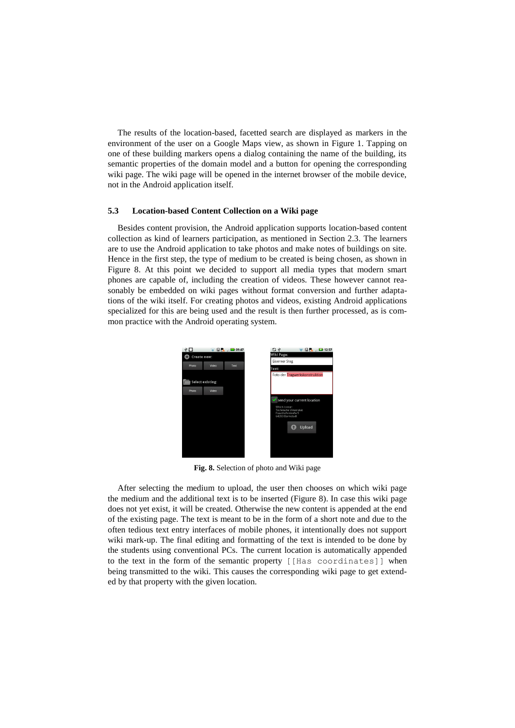The results of the location-based, facetted search are displayed as markers in the environment of the user on a Google Maps view, as shown in Figure 1. Tapping on one of these building markers opens a dialog containing the name of the building, its semantic properties of the domain model and a button for opening the corresponding wiki page. The wiki page will be opened in the internet browser of the mobile device, not in the Android application itself.

#### **5.3 Location-based Content Collection on a Wiki page**

Besides content provision, the Android application supports location-based content collection as kind of learners participation, as mentioned in Section 2.3. The learners are to use the Android application to take photos and make notes of buildings on site. Hence in the first step, the type of medium to be created is being chosen, as shown in Figure 8. At this point we decided to support all media types that modern smart phones are capable of, including the creation of videos. These however cannot reasonably be embedded on wiki pages without format conversion and further adaptations of the wiki itself. For creating photos and videos, existing Android applications specialized for this are being used and the result is then further processed, as is common practice with the Android operating system.



**Fig. 8.** Selection of photo and Wiki page

After selecting the medium to upload, the user then chooses on which wiki page the medium and the additional text is to be inserted (Figure 8). In case this wiki page does not yet exist, it will be created. Otherwise the new content is appended at the end of the existing page. The text is meant to be in the form of a short note and due to the often tedious text entry interfaces of mobile phones, it intentionally does not support wiki mark-up. The final editing and formatting of the text is intended to be done by the students using conventional PCs. The current location is automatically appended to the text in the form of the semantic property [[Has coordinates]] when being transmitted to the wiki. This causes the corresponding wiki page to get extended by that property with the given location.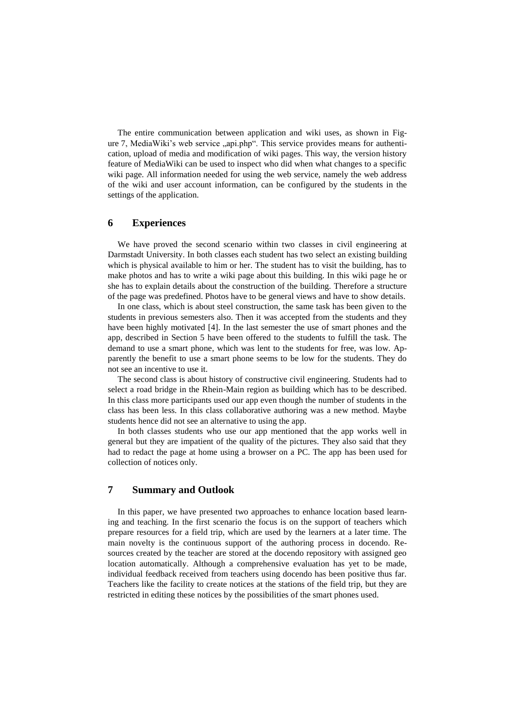The entire communication between application and wiki uses, as shown in Figure 7, MediaWiki's web service "api.php". This service provides means for authentication, upload of media and modification of wiki pages. This way, the version history feature of MediaWiki can be used to inspect who did when what changes to a specific wiki page. All information needed for using the web service, namely the web address of the wiki and user account information, can be configured by the students in the settings of the application.

## **6 Experiences**

We have proved the second scenario within two classes in civil engineering at Darmstadt University. In both classes each student has two select an existing building which is physical available to him or her. The student has to visit the building, has to make photos and has to write a wiki page about this building. In this wiki page he or she has to explain details about the construction of the building. Therefore a structure of the page was predefined. Photos have to be general views and have to show details.

In one class, which is about steel construction, the same task has been given to the students in previous semesters also. Then it was accepted from the students and they have been highly motivated [4]. In the last semester the use of smart phones and the app, described in Section 5 have been offered to the students to fulfill the task. The demand to use a smart phone, which was lent to the students for free, was low. Apparently the benefit to use a smart phone seems to be low for the students. They do not see an incentive to use it.

The second class is about history of constructive civil engineering. Students had to select a road bridge in the Rhein-Main region as building which has to be described. In this class more participants used our app even though the number of students in the class has been less. In this class collaborative authoring was a new method. Maybe students hence did not see an alternative to using the app.

In both classes students who use our app mentioned that the app works well in general but they are impatient of the quality of the pictures. They also said that they had to redact the page at home using a browser on a PC. The app has been used for collection of notices only.

# **7 Summary and Outlook**

In this paper, we have presented two approaches to enhance location based learning and teaching. In the first scenario the focus is on the support of teachers which prepare resources for a field trip, which are used by the learners at a later time. The main novelty is the continuous support of the authoring process in docendo. Resources created by the teacher are stored at the docendo repository with assigned geo location automatically. Although a comprehensive evaluation has yet to be made, individual feedback received from teachers using docendo has been positive thus far. Teachers like the facility to create notices at the stations of the field trip, but they are restricted in editing these notices by the possibilities of the smart phones used.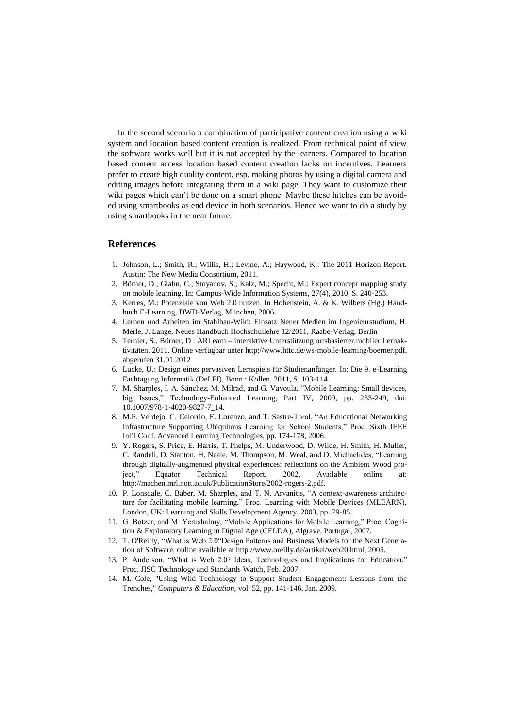In the second scenario a combination of participative content creation using a wiki system and location based content creation is realized. From technical point of view the software works well but it is not accepted by the learners. Compared to location based content access location based content creation lacks on incentives. Learners prefer to create high quality content, esp. making photos by using a digital camera and editing images before integrating them in a wiki page. They want to customize their wiki pages which can't be done on a smart phone. Maybe these hitches can be avoided using smartbooks as end device in both scenarios. Hence we want to do a study by using smartbooks in the near future.

## **References**

- 1. Johnson, L.; Smith, R.; Willis, H.; Levine, A.; Haywood, K.: The 2011 Horizon Report. Austin: The New Media Consortium, 2011.
- 2. Börner, D.; Glahn, C.; Stoyanov, S.; Kalz, M.; Specht, M.: Expert concept mapping study on mobile learning. In: Campus-Wide Information Systems, 27(4), 2010, S. 240-253.
- 3. Kerres, M.: Potenziale von Web 2.0 nutzen. In Hohenstein, A. & K. Wilbers (Hg.) Handbuch E-Learning, DWD-Verlag, München, 2006.
- 4. Lernen und Arbeiten im Stahlbau-Wiki: Einsatz Neuer Medien im Ingenieurstudium, H. Merle, J. Lange, Neues Handbuch Hochschullehre 12/2011, Raabe-Verlag, Berlin
- 5. Ternier, S., Börner, D.: ARLearn interaktive Unterstützung ortsbasierter,mobiler Lernaktivitäten. 2011. Online verfügbar unter http://www.httc.de/ws-mobile-learning/boerner.pdf, abgerufen 31.01.2012
- 6. Lucke, U.: Design eines pervasiven Lernspiels für Studienanfänger. In: Die 9. e-Learning Fachtagung Informatik (DeLFI), Bonn : Köllen, 2011, S. 103-114.
- 7. M. Sharples, I. A. Sánchez, M. Milrad, and G. Vavoula, "Mobile Learning: Small devices, big Issues," Technology-Enhanced Learning, Part IV, 2009, pp. 233-249, doi: 10.1007/978-1-4020-9827-7\_14.
- 8. M.F. Verdejo, C. Celorrio, E. Lorenzo, and T. Sastre-Toral, "An Educational Networking Infrastructure Supporting Ubiquitous Learning for School Students," Proc. Sixth IEEE Int'l Conf. Advanced Learning Technologies, pp. 174-178, 2006.
- 9. Y. Rogers, S. Price, E. Harris, T. Phelps, M. Underwood, D. Wilde, H. Smith, H. Muller, C. Randell, D. Stanton, H. Neale, M. Thompson, M. Weal, and D. Michaelides, "Learning through digitally-augmented physical experiences: reflections on the Ambient Wood project," Equator Technical Report, 2002, Available online at: http://machen.mrl.nott.ac.uk/PublicationStore/2002-rogers-2.pdf.
- 10. P. Lonsdale, C. Baber, M. Sharples, and T. N. Arvanitis, "A context-awareness architecture for facilitating mobile learning," Proc. Learning with Mobile Devices (MLEARN), London, UK: Learning and Skills Development Agency, 2003, pp. 79-85.
- 11. G. Botzer, and M. Yerushalmy, "Mobile Applications for Mobile Learning," Proc. Cognition & Exploratory Learning in Digital Age (CELDA), Algrave, Portugal, 2007.
- 12. [T. O'Reilly,](http://de.wikipedia.org/wiki/Tim_O%27Reilly) "What is Web 2.0"Design Patterns and Business Models for the Next Generation of Software, online available at [http://www.oreilly.de/artikel/web20.html,](http://www.oreilly.de/artikel/web20.html) 2005.
- 13. P. Anderson, "What is Web 2.0? Ideas, Technologies and Implications for Education," Proc. JISC Technology and Standards Watch, Feb. 2007.
- 14. M. Cole, "Using Wiki Technology to Support Student Engagement: Lessons from the Trenches," *Computers & Education,* vol. 52, pp. 141-146, Jan. 2009.